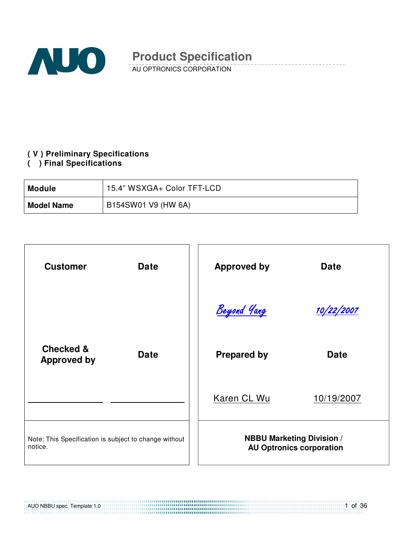

AU OPTRONICS CORPORATION

#### **( V ) Preliminary Specifications**

**( ) Final Specifications** 

| Module            | 15.4" WSXGA+ Color TFT-LCD |
|-------------------|----------------------------|
| <b>Model Name</b> | B154SW01 V9 (HW 6A)        |

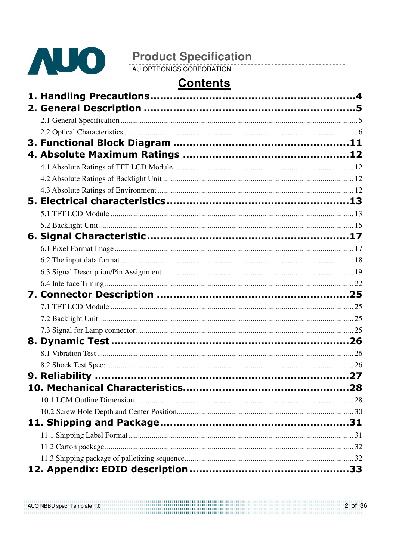

**Product Specification**<br>AU OPTRONICS CORPORATION

# **Contents**

AUO NBBU spec. Template 1.0 2 of 36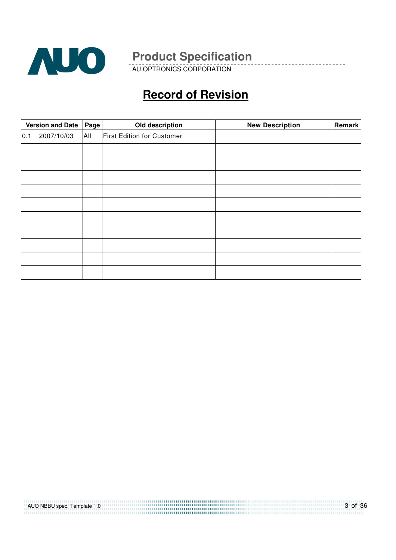

AU OPTRONICS CORPORATION

# **Record of Revision**

|     | <b>Version and Date</b><br>Old description<br>Page |     |                                   | <b>New Description</b> | Remark |
|-----|----------------------------------------------------|-----|-----------------------------------|------------------------|--------|
| 0.1 | 2007/10/03                                         | All | <b>First Edition for Customer</b> |                        |        |
|     |                                                    |     |                                   |                        |        |
|     |                                                    |     |                                   |                        |        |
|     |                                                    |     |                                   |                        |        |
|     |                                                    |     |                                   |                        |        |
|     |                                                    |     |                                   |                        |        |
|     |                                                    |     |                                   |                        |        |
|     |                                                    |     |                                   |                        |        |
|     |                                                    |     |                                   |                        |        |
|     |                                                    |     |                                   |                        |        |
|     |                                                    |     |                                   |                        |        |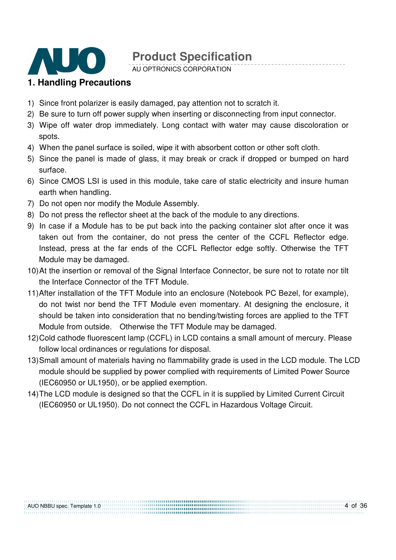

AU OPTRONICS CORPORATION

#### **1. Handling Precautions**

- 1) Since front polarizer is easily damaged, pay attention not to scratch it.
- 2) Be sure to turn off power supply when inserting or disconnecting from input connector.
- 3) Wipe off water drop immediately. Long contact with water may cause discoloration or spots.
- 4) When the panel surface is soiled, wipe it with absorbent cotton or other soft cloth.
- 5) Since the panel is made of glass, it may break or crack if dropped or bumped on hard surface.
- 6) Since CMOS LSI is used in this module, take care of static electricity and insure human earth when handling.
- 7) Do not open nor modify the Module Assembly.
- 8) Do not press the reflector sheet at the back of the module to any directions.
- 9) In case if a Module has to be put back into the packing container slot after once it was taken out from the container, do not press the center of the CCFL Reflector edge. Instead, press at the far ends of the CCFL Reflector edge softly. Otherwise the TFT Module may be damaged.
- 10) At the insertion or removal of the Signal Interface Connector, be sure not to rotate nor tilt the Interface Connector of the TFT Module.
- 11) After installation of the TFT Module into an enclosure (Notebook PC Bezel, for example), do not twist nor bend the TFT Module even momentary. At designing the enclosure, it should be taken into consideration that no bending/twisting forces are applied to the TFT Module from outside. Otherwise the TFT Module may be damaged.
- 12) Cold cathode fluorescent lamp (CCFL) in LCD contains a small amount of mercury. Please follow local ordinances or regulations for disposal.
- 13) Small amount of materials having no flammability grade is used in the LCD module. The LCD module should be supplied by power complied with requirements of Limited Power Source (IEC60950 or UL1950), or be applied exemption.
- 14) The LCD module is designed so that the CCFL in it is supplied by Limited Current Circuit (IEC60950 or UL1950). Do not connect the CCFL in Hazardous Voltage Circuit.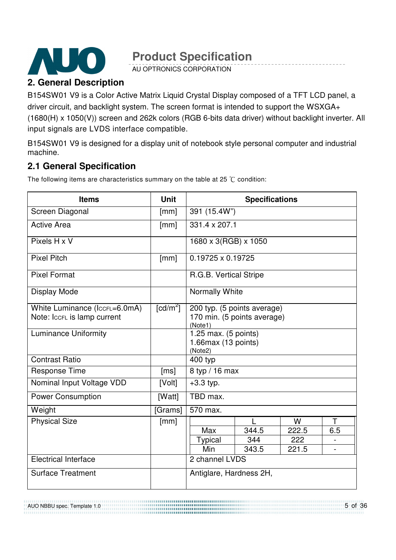

AU OPTRONICS CORPORATION

### **2. General Description**

B154SW01 V9 is a Color Active Matrix Liquid Crystal Display composed of a TFT LCD panel, a driver circuit, and backlight system. The screen format is intended to support the WSXGA+ (1680(H) x 1050(V)) screen and 262k colors (RGB 6-bits data driver) without backlight inverter. All input signals are LVDS interface compatible.

B154SW01 V9 is designed for a display unit of notebook style personal computer and industrial machine.

### **2.1 General Specification**

The following items are characteristics summary on the table at 25  $\degree$ C condition:

| <b>Items</b>                                                 | <b>Unit</b>            | <b>Specifications</b>                                                 |       |       |     |  |
|--------------------------------------------------------------|------------------------|-----------------------------------------------------------------------|-------|-------|-----|--|
| Screen Diagonal                                              | [mm]                   | 391 (15.4W")                                                          |       |       |     |  |
| <b>Active Area</b>                                           | [mm]                   | 331.4 x 207.1                                                         |       |       |     |  |
| Pixels H x V                                                 |                        | 1680 x 3(RGB) x 1050                                                  |       |       |     |  |
| <b>Pixel Pitch</b>                                           | [mm]                   | 0.19725 x 0.19725                                                     |       |       |     |  |
| <b>Pixel Format</b>                                          |                        | R.G.B. Vertical Stripe                                                |       |       |     |  |
| Display Mode                                                 |                        | <b>Normally White</b>                                                 |       |       |     |  |
| White Luminance (IccFL=6.0mA)<br>Note: IccFL is lamp current | $\lceil cd/m^2 \rceil$ | 200 typ. (5 points average)<br>170 min. (5 points average)<br>(Note1) |       |       |     |  |
| <b>Luminance Uniformity</b>                                  |                        | 1.25 max. (5 points)<br>$1.66$ max (13 points)<br>(Note2)             |       |       |     |  |
| <b>Contrast Ratio</b>                                        |                        | 400 typ                                                               |       |       |     |  |
| <b>Response Time</b>                                         | [ms]                   | 8 typ / 16 max                                                        |       |       |     |  |
| Nominal Input Voltage VDD                                    | [Volt]                 | $+3.3$ typ.                                                           |       |       |     |  |
| <b>Power Consumption</b>                                     | [Watt]                 | TBD max.                                                              |       |       |     |  |
| Weight                                                       | [Grams]                | 570 max.                                                              |       |       |     |  |
| <b>Physical Size</b>                                         | [mm]                   |                                                                       |       | W     | Τ   |  |
|                                                              |                        | Max                                                                   | 344.5 | 222.5 | 6.5 |  |
|                                                              |                        | <b>Typical</b>                                                        | 344   | 222   |     |  |
|                                                              |                        | Min<br>343.5<br>221.5                                                 |       |       |     |  |
| <b>Electrical Interface</b>                                  |                        | 2 channel LVDS                                                        |       |       |     |  |
| <b>Surface Treatment</b>                                     |                        | Antiglare, Hardness 2H,                                               |       |       |     |  |

AUO NBBU spec. Template 1.0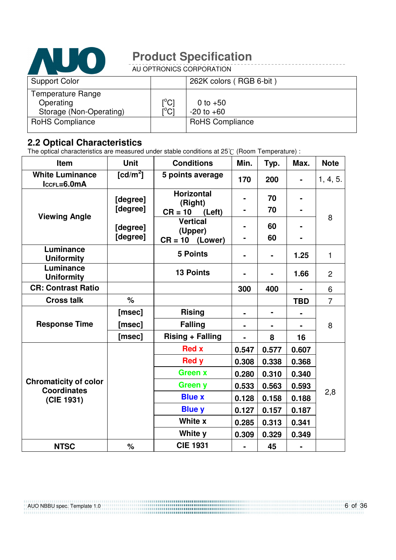

AU OPTRONICS CORPORATION

| <b>Support Color</b>     |                            | 262K colors (RGB 6-bit) |
|--------------------------|----------------------------|-------------------------|
| <b>Temperature Range</b> |                            |                         |
| Operating                | [°C]                       | 0 to $+50$              |
| Storage (Non-Operating)  | $\mathop{\rm l}{\rm ^oCl}$ | $-20$ to $+60$          |
| RoHS Compliance          |                            | <b>RoHS Compliance</b>  |
|                          |                            |                         |

#### **2.2 Optical Characteristics**

The optical characteristics are measured under stable conditions at 25 $\degree$ C (Room Temperature) :

| Item                                               | <b>Unit</b>          | <b>Conditions</b>            | Min.           | Typ.           | Max.       | <b>Note</b>    |
|----------------------------------------------------|----------------------|------------------------------|----------------|----------------|------------|----------------|
| <b>White Luminance</b><br>$lccFL=6.0mA$            | [cd/m <sup>2</sup> ] | 5 points average             | 170            | 200            |            | 1, 4, 5.       |
|                                                    | [degree]             | <b>Horizontal</b><br>(Right) |                | 70             |            |                |
| <b>Viewing Angle</b>                               | [degree]             | $CR = 10$<br>(Left)          |                | 70             |            |                |
|                                                    | [degree]             | <b>Vertical</b><br>(Upper)   |                | 60             |            | 8              |
|                                                    | [degree]             | $CR = 10$<br>(Lower)         | ۰              | 60             |            |                |
| Luminance<br><b>Uniformity</b>                     |                      | <b>5 Points</b>              | $\blacksquare$ |                | 1.25       | $\mathbf{1}$   |
| Luminance<br><b>Uniformity</b>                     |                      | <b>13 Points</b>             |                |                | 1.66       | $\overline{2}$ |
| <b>CR: Contrast Ratio</b>                          |                      |                              | 300            | 400            |            | 6              |
| <b>Cross talk</b>                                  | $\%$                 |                              |                |                | <b>TBD</b> | $\overline{7}$ |
|                                                    | [msec]               | <b>Rising</b>                |                | $\blacksquare$ |            |                |
| <b>Response Time</b>                               | [msec]               | <b>Falling</b>               |                |                |            | 8              |
|                                                    | [msec]               | <b>Rising + Falling</b>      |                | 8              | 16         |                |
|                                                    |                      | <b>Red x</b>                 | 0.547          | 0.577          | 0.607      |                |
|                                                    |                      | <b>Red y</b>                 | 0.308          | 0.338          | 0.368      |                |
|                                                    |                      | <b>Green x</b>               | 0.280          | 0.310          | 0.340      |                |
| <b>Chromaticity of color</b><br><b>Coordinates</b> |                      | <b>Green y</b>               | 0.533          | 0.563          | 0.593      |                |
| (CIE 1931)                                         |                      | <b>Blue x</b>                | 0.128          | 0.158          | 0.188      | 2,8            |
|                                                    |                      | <b>Blue y</b>                | 0.127          | 0.157          | 0.187      |                |
|                                                    |                      | White x                      | 0.285          | 0.313          | 0.341      |                |
|                                                    |                      | White y                      | 0.309          | 0.329          | 0.349      |                |
| <b>NTSC</b>                                        | %                    | <b>CIE 1931</b>              |                | 45             |            |                |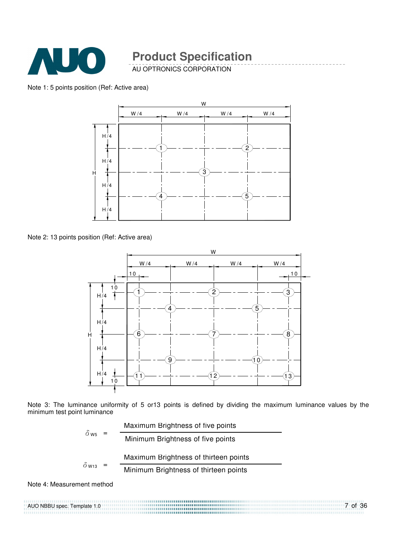

AU OPTRONICS CORPORATION

#### Note 1: 5 points position (Ref: Active area)



Note 2: 13 points position (Ref: Active area)



Note 3: The luminance uniformity of 5 or13 points is defined by dividing the maximum luminance values by the minimum test point luminance

| $\delta$ w <sub>5</sub>  | Maximum Brightness of five points     |
|--------------------------|---------------------------------------|
|                          | Minimum Brightness of five points     |
|                          | Maximum Brightness of thirteen points |
| $\delta$ W <sub>13</sub> | Minimum Brightness of thirteen points |

Note 4: Measurement method

AUO NBBU spec. Template 1.0 ...................................... 7 of 36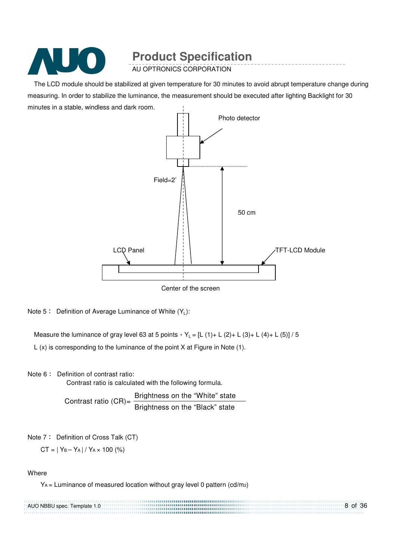

AU OPTRONICS CORPORATION

The LCD module should be stabilized at given temperature for 30 minutes to avoid abrupt temperature change during measuring. In order to stabilize the luminance, the measurement should be executed after lighting Backlight for 30 minutes in a stable, windless and dark room.



Note  $5$  : Definition of Average Luminance of White  $(Y_1)$ :

Measure the luminance of gray level 63 at 5 points  $Y_L = [L (1) + L (2) + L (3) + L (4) + L (5)] / 5$ L (x) is corresponding to the luminance of the point X at Figure in Note (1).

Note 6: Definition of contrast ratio:

Contrast ratio is calculated with the following formula.

Contrast ratio (CR)=  $\frac{\text{Brightness on the "White" state}}{\text{Bright}}$ Brightness on the "Black" state

Note 7: Definition of Cross Talk (CT)

 $CT = |Y_B - Y_A| / Y_A \times 100$  (%)

**Where** 

YA = Luminance of measured location without gray level 0 pattern (cd/m2)

8 of 36 AUO NBBU spec. Template 1.0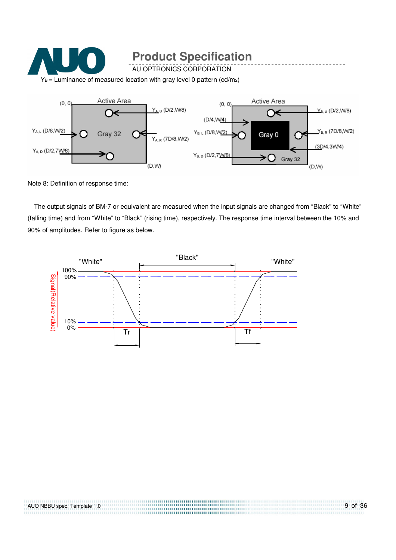



Note 8: Definition of response time:

The output signals of BM-7 or equivalent are measured when the input signals are changed from "Black" to "White" (falling time) and from "White" to "Black" (rising time), respectively. The response time interval between the 10% and 90% of amplitudes. Refer to figure as below.



,,,,,,,,,,,,,,,,,,,,,,,,,,,,,,,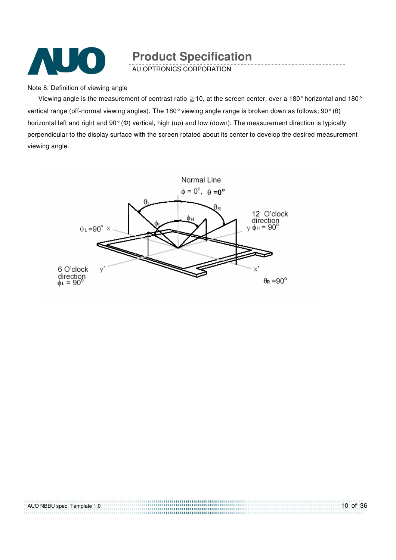

AU OPTRONICS CORPORATION

Note 8. Definition of viewing angle

Viewing angle is the measurement of contrast ratio  $\geq$  10, at the screen center, over a 180° horizontal and 180° vertical range (off-normal viewing angles). The 180° viewing angle range is broken down as follows; 90° (θ) horizontal left and right and 90° (Φ) vertical, high (up) and low (down). The measurement direction is typically perpendicular to the display surface with the screen rotated about its center to develop the desired measurement viewing angle.



AUO NBBU spec. Template 1.0 10 of 36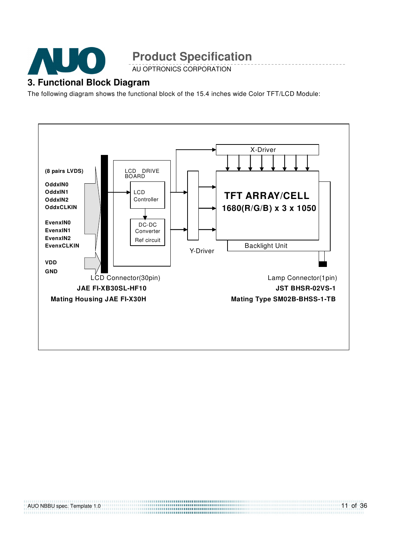

AU OPTRONICS CORPORATION

#### **3. Functional Block Diagram**

The following diagram shows the functional block of the 15.4 inches wide Color TFT/LCD Module:



11 of 36

AUO NBBU spec. Template 1.0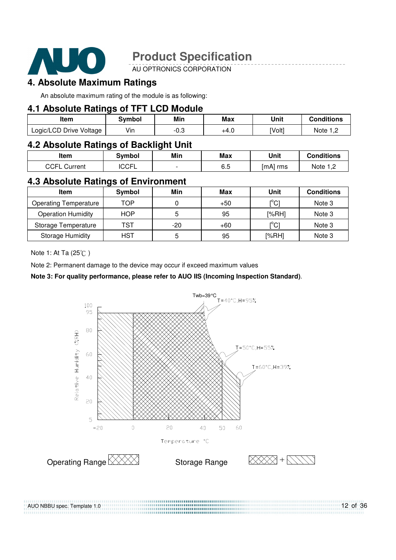

AU OPTRONICS CORPORATION

#### **4. Absolute Maximum Ratings**

An absolute maximum rating of the module is as following:

#### **4.1 Absolute Ratings of TFT LCD Module**

| ltem                    | Svmbol | Min  | <b>Max</b> | Unit   | <b>Conditions</b> |
|-------------------------|--------|------|------------|--------|-------------------|
| Logic/LCD Drive Voltage | Vin    | −∪.ບ | +4.0       | [Volt] | Note              |

#### **4.2 Absolute Ratings of Backlight Unit**

| Item                     | <b>Symbol</b> | Min                      | <b>Max</b> | Unit       | <b>Conditions</b> |
|--------------------------|---------------|--------------------------|------------|------------|-------------------|
| <b>CCFL</b><br>. Current | ICCFL         | $\overline{\phantom{0}}$ | 6.5        | $[mA]$ rms | Note 1 C          |

#### **4.3 Absolute Ratings of Environment**

| Item                         | Symbol     | Min   | Max   | Unit                                    | <b>Conditions</b> |
|------------------------------|------------|-------|-------|-----------------------------------------|-------------------|
| <b>Operating Temperature</b> | TOP        |       | $+50$ | $\mathsf{I}^\circ\mathsf{C} \mathsf{I}$ | Note 3            |
| <b>Operation Humidity</b>    | <b>HOP</b> |       | 95    | [%RH]                                   | Note 3            |
| Storage Temperature          | <b>TST</b> | $-20$ | $+60$ | $\mathsf{I}^\circ\mathsf{C} \mathsf{I}$ | Note 3            |
| <b>Storage Humidity</b>      | <b>HST</b> | 5     | 95    | [%RH]                                   | Note 3            |

Note 1: At Ta (25°C)

Note 2: Permanent damage to the device may occur if exceed maximum values

#### **Note 3: For quality performance, please refer to AUO IIS (Incoming Inspection Standard)**.



12 of 36 AUO NBBU spec. Template 1.0 ,,,,,,,,,,,,,,,,,,,,,,,,,,,,,,,,,,,,,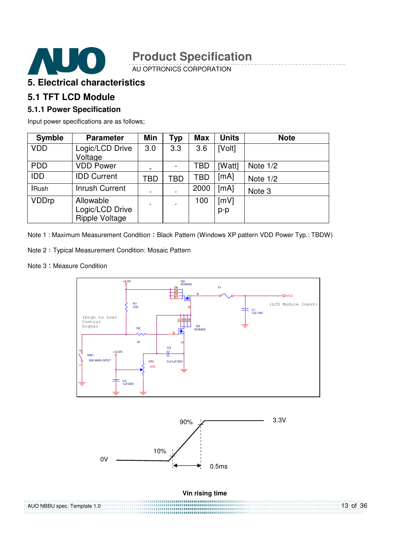

AU OPTRONICS CORPORATION

#### **5. Electrical characteristics**

#### **5.1 TFT LCD Module**

#### **5.1.1 Power Specification**

Input power specifications are as follows;

| <b>Symble</b> | <b>Parameter</b>                                      | Min                      | Typ | <b>Max</b> | <b>Units</b>  | <b>Note</b> |
|---------------|-------------------------------------------------------|--------------------------|-----|------------|---------------|-------------|
| <b>VDD</b>    | Logic/LCD Drive<br>Voltage                            | 3.0                      | 3.3 | 3.6        | [Volt]        |             |
| <b>PDD</b>    | <b>VDD Power</b>                                      | -                        |     | TBD        | [Watt]        | Note $1/2$  |
| <b>IDD</b>    | <b>IDD Current</b>                                    | TBD                      | TBD | TBD        | [mA]          | Note $1/2$  |
| <b>IRush</b>  | <b>Inrush Current</b>                                 | $\overline{\phantom{a}}$ |     | 2000       | [mA]          | Note 3      |
| <b>VDDrp</b>  | Allowable<br>Logic/LCD Drive<br><b>Ripple Voltage</b> | $\overline{\phantom{a}}$ |     | 100        | [mV]<br>$p-p$ |             |

Note 1 : Maximum Measurement Condition : Black Pattern (Windows XP pattern VDD Power Typ.: TBDW)

Note 2 Typical Measurement Condition: Mosaic Pattern

0V

Note 3: Measure Condition





0.5ms

10%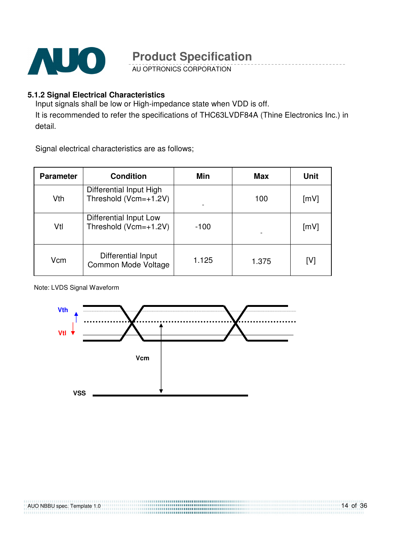

AU OPTRONICS CORPORATION

#### **5.1.2 Signal Electrical Characteristics**

Input signals shall be low or High-impedance state when VDD is off. It is recommended to refer the specifications of THC63LVDF84A (Thine Electronics Inc.) in detail.

Signal electrical characteristics are as follows;

| <b>Parameter</b> | <b>Condition</b>                                 | Min    | Max   | Unit |
|------------------|--------------------------------------------------|--------|-------|------|
| Vth              | Differential Input High<br>Threshold (Vcm=+1.2V) |        | 100   | [mV] |
| Vtl              | Differential Input Low<br>Threshold (Vcm=+1.2V)  | $-100$ |       | [mV] |
| Vcm              | Differential Input<br>Common Mode Voltage        | 1.125  | 1.375 | [V]  |

#### Note: LVDS Signal Waveform

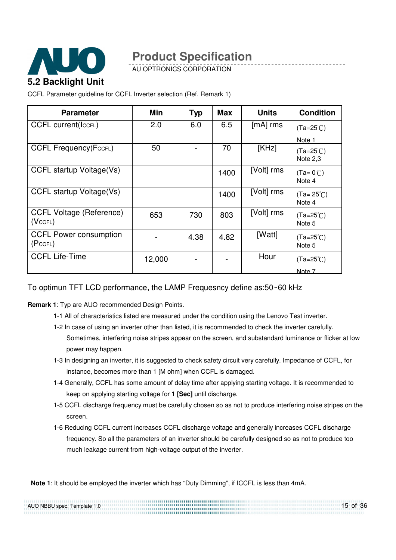

AU OPTRONICS CORPORATION

CCFL Parameter guideline for CCFL Inverter selection (Ref. Remark 1)

| <b>Parameter</b>                           | Min    | <b>Typ</b> | <b>Max</b> | <b>Units</b> | <b>Condition</b>                      |
|--------------------------------------------|--------|------------|------------|--------------|---------------------------------------|
| <b>CCFL current(IccFL)</b>                 | 2.0    | 6.0        | 6.5        | $[mA]$ rms   | $(Ta=25^{\circ}C)$                    |
|                                            |        |            |            |              | Note 1                                |
| <b>CCFL Frequency (FccFL)</b>              | 50     |            | 70         | [KHz]        | $(Ta=25^{\circ}C)$<br><b>Note 2.3</b> |
| CCFL startup Voltage(Vs)                   |        |            | 1400       | [Volt] rms   | $(Ta=0^{\circ}C)$<br>Note 4           |
| CCFL startup Voltage(Vs)                   |        |            | 1400       | [Volt] rms   | $(Ta = 25^{\circ}C)$<br>Note 4        |
| <b>CCFL Voltage (Reference)</b><br>(VccFL) | 653    | 730        | 803        | [Volt] rms   | $(Ta=25^{\circ}C)$<br>Note 5          |
| <b>CCFL Power consumption</b><br>(PccFL)   |        | 4.38       | 4.82       | [Watt]       | $(Ta=25^{\circ}C)$<br>Note 5          |
| <b>CCFL Life-Time</b>                      | 12,000 |            |            | Hour         | $(Ta=25^{\circ}C)$                    |
|                                            |        |            |            |              | Note 7                                |

#### To optimun TFT LCD performance, the LAMP Frequesncy define as:50~60 kHz

**Remark 1**: Typ are AUO recommended Design Points.

- 1-1 All of characteristics listed are measured under the condition using the Lenovo Test inverter.
- 1-2 In case of using an inverter other than listed, it is recommended to check the inverter carefully. Sometimes, interfering noise stripes appear on the screen, and substandard luminance or flicker at low power may happen.
- 1-3 In designing an inverter, it is suggested to check safety circuit very carefully. Impedance of CCFL, for instance, becomes more than 1 [M ohm] when CCFL is damaged.
- 1-4 Generally, CCFL has some amount of delay time after applying starting voltage. It is recommended to keep on applying starting voltage for **1 [Sec]** until discharge.
- 1-5 CCFL discharge frequency must be carefully chosen so as not to produce interfering noise stripes on the screen.
- 1-6 Reducing CCFL current increases CCFL discharge voltage and generally increases CCFL discharge frequency. So all the parameters of an inverter should be carefully designed so as not to produce too much leakage current from high-voltage output of the inverter.

**Note 1**: It should be employed the inverter which has "Duty Dimming", if ICCFL is less than 4mA.

| AUO NBBU spec. Template 1.0 | $15$ of 36 |
|-----------------------------|------------|
|                             |            |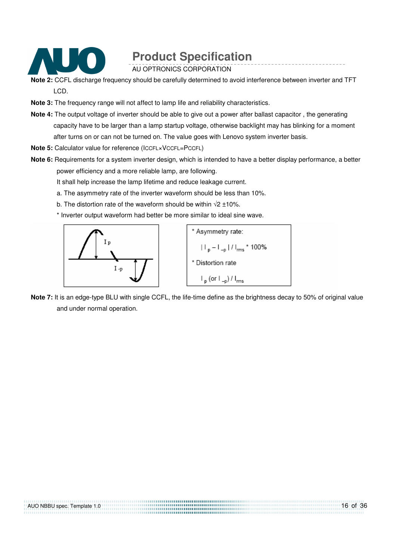

AU OPTRONICS CORPORATION

- **Note 2:** CCFL discharge frequency should be carefully determined to avoid interference between inverter and TFT LCD.
- **Note 3:** The frequency range will not affect to lamp life and reliability characteristics.
- **Note 4:** The output voltage of inverter should be able to give out a power after ballast capacitor , the generating capacity have to be larger than a lamp startup voltage, otherwise backlight may has blinking for a moment after turns on or can not be turned on. The value goes with Lenovo system inverter basis.
- **Note 5:** Calculator value for reference (ICCFL×VCCFL=PCCFL)
- **Note 6:** Requirements for a system inverter design, which is intended to have a better display performance, a better power efficiency and a more reliable lamp, are following.

It shall help increase the lamp lifetime and reduce leakage current.

- a. The asymmetry rate of the inverter waveform should be less than 10%.
- b. The distortion rate of the waveform should be within  $\sqrt{2} \pm 10\%$ .
- \* Inverter output waveform had better be more similar to ideal sine wave.





**Note 7:** It is an edge-type BLU with single CCFL, the life-time define as the brightness decay to 50% of original value and under normal operation.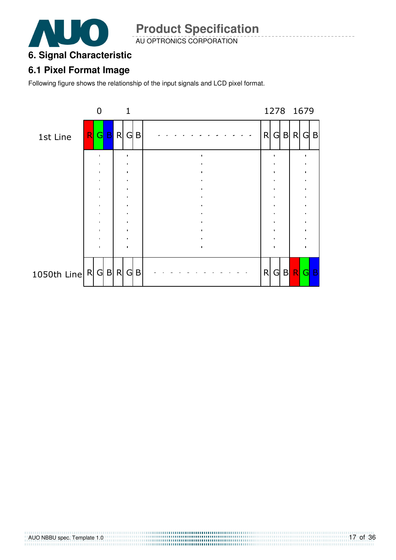

AU OPTRONICS CORPORATION

#### **6. Signal Characteristic**

#### **6.1 Pixel Format Image**

Following figure shows the relationship of the input signals and LCD pixel format.

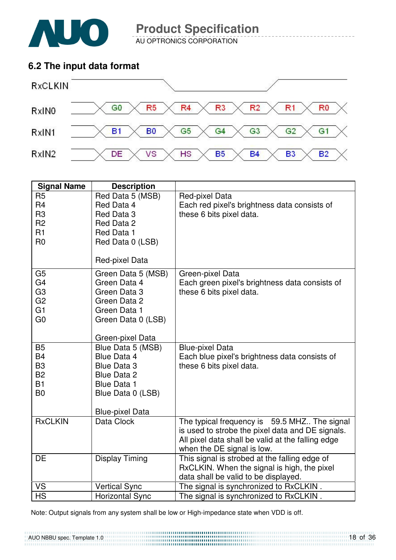

AU OPTRONICS CORPORATION

### **6.2 The input data format**



| <b>Signal Name</b>                                                                                       | <b>Description</b>                                                                                                             |                                                                                                                                                                                     |
|----------------------------------------------------------------------------------------------------------|--------------------------------------------------------------------------------------------------------------------------------|-------------------------------------------------------------------------------------------------------------------------------------------------------------------------------------|
| R <sub>5</sub><br>R <sub>4</sub><br>R <sub>3</sub>                                                       | Red Data 5 (MSB)<br>Red Data 4<br>Red Data 3                                                                                   | Red-pixel Data<br>Each red pixel's brightness data consists of<br>these 6 bits pixel data.                                                                                          |
| R <sub>2</sub><br>R1<br>R <sub>0</sub>                                                                   | Red Data 2<br>Red Data 1<br>Red Data 0 (LSB)                                                                                   |                                                                                                                                                                                     |
|                                                                                                          | Red-pixel Data                                                                                                                 |                                                                                                                                                                                     |
| G <sub>5</sub><br>G <sub>4</sub><br>G <sub>3</sub><br>G <sub>2</sub><br>G <sub>1</sub><br>G <sub>0</sub> | Green Data 5 (MSB)<br>Green Data 4<br>Green Data 3<br>Green Data 2<br>Green Data 1<br>Green Data 0 (LSB)                       | Green-pixel Data<br>Each green pixel's brightness data consists of<br>these 6 bits pixel data.                                                                                      |
|                                                                                                          | Green-pixel Data                                                                                                               |                                                                                                                                                                                     |
| <b>B5</b><br><b>B4</b><br>B <sub>3</sub><br><b>B2</b><br><b>B1</b><br>B <sub>0</sub>                     | Blue Data 5 (MSB)<br><b>Blue Data 4</b><br><b>Blue Data 3</b><br><b>Blue Data 2</b><br><b>Blue Data 1</b><br>Blue Data 0 (LSB) | <b>Blue-pixel Data</b><br>Each blue pixel's brightness data consists of<br>these 6 bits pixel data.                                                                                 |
|                                                                                                          | <b>Blue-pixel Data</b>                                                                                                         |                                                                                                                                                                                     |
| <b>RxCLKIN</b>                                                                                           | Data Clock                                                                                                                     | The typical frequency is 59.5 MHZ The signal<br>is used to strobe the pixel data and DE signals.<br>All pixel data shall be valid at the falling edge<br>when the DE signal is low. |
| <b>DE</b>                                                                                                | <b>Display Timing</b>                                                                                                          | This signal is strobed at the falling edge of<br>RxCLKIN. When the signal is high, the pixel<br>data shall be valid to be displayed.                                                |
| <b>VS</b>                                                                                                | <b>Vertical Sync</b>                                                                                                           | The signal is synchronized to RxCLKIN.                                                                                                                                              |
| <b>HS</b>                                                                                                | <b>Horizontal Sync</b>                                                                                                         | The signal is synchronized to RxCLKIN.                                                                                                                                              |

Note: Output signals from any system shall be low or High-impedance state when VDD is off.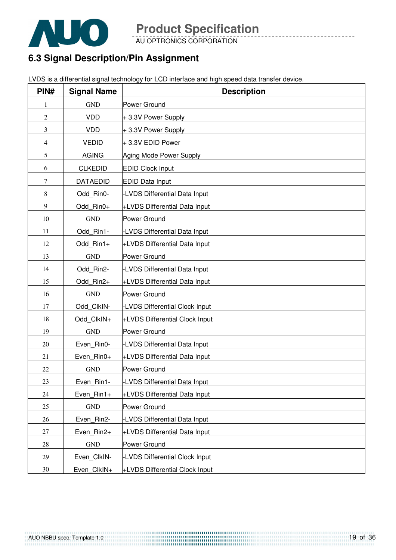

AU OPTRONICS CORPORATION

### **6.3 Signal Description/Pin Assignment**

LVDS is a differential signal technology for LCD interface and high speed data transfer device.

| PIN#           | <b>Signal Name</b> | <b>Description</b>             |
|----------------|--------------------|--------------------------------|
| 1              | <b>GND</b>         | Power Ground                   |
| $\overline{2}$ | <b>VDD</b>         | +3.3V Power Supply             |
| 3              | <b>VDD</b>         | +3.3V Power Supply             |
| 4              | <b>VEDID</b>       | +3.3V EDID Power               |
| 5              | <b>AGING</b>       | Aging Mode Power Supply        |
| 6              | <b>CLKEDID</b>     | <b>EDID Clock Input</b>        |
| 7              | <b>DATAEDID</b>    | <b>EDID Data Input</b>         |
| 8              | Odd Rin0-          | -LVDS Differential Data Input  |
| 9              | Odd Rin0+          | +LVDS Differential Data Input  |
| 10             | <b>GND</b>         | Power Ground                   |
| 11             | Odd Rin1-          | -LVDS Differential Data Input  |
| 12             | Odd Rin1+          | +LVDS Differential Data Input  |
| 13             | <b>GND</b>         | Power Ground                   |
| 14             | Odd Rin2-          | -LVDS Differential Data Input  |
| 15             | Odd Rin2+          | +LVDS Differential Data Input  |
| 16             | <b>GND</b>         | Power Ground                   |
| 17             | Odd ClkIN-         | -LVDS Differential Clock Input |
| 18             | Odd ClkIN+         | +LVDS Differential Clock Input |
| 19             | <b>GND</b>         | Power Ground                   |
| 20             | Even Rin0-         | -LVDS Differential Data Input  |
| 21             | Even Rin0+         | +LVDS Differential Data Input  |
| 22             | <b>GND</b>         | Power Ground                   |
| 23             | Even Rin1-         | -LVDS Differential Data Input  |
| 24             | Even Rin1+         | +LVDS Differential Data Input  |
| 25             | <b>GND</b>         | Power Ground                   |
| 26             | Even_Rin2-         | -LVDS Differential Data Input  |
| 27             | Even_Rin2+         | +LVDS Differential Data Input  |
| 28             | <b>GND</b>         | Power Ground                   |
| 29             | Even_ClkIN-        | -LVDS Differential Clock Input |
| 30             | Even_ClkIN+        | +LVDS Differential Clock Input |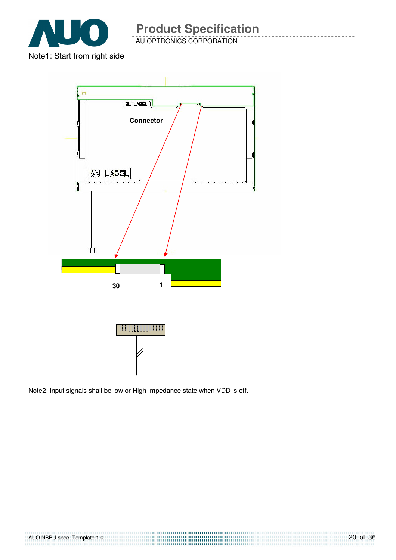

AU OPTRONICS CORPORATION



Note2: Input signals shall be low or High-impedance state when VDD is off.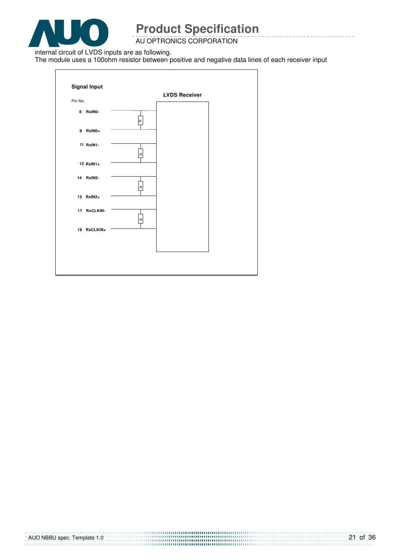

AU OPTRONICS CORPORATION

internal circuit of LVDS inputs are as following.

The module uses a 100ohm resistor between positive and negative data lines of each receiver input

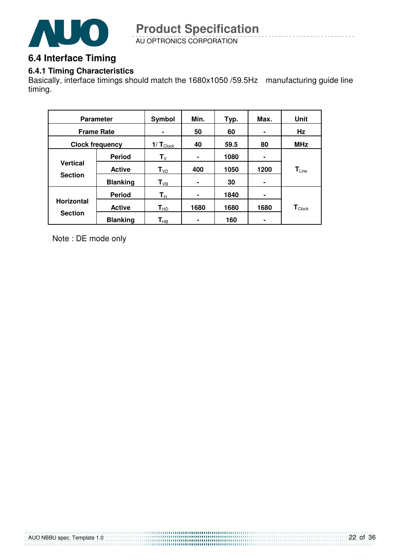

AU OPTRONICS CORPORATION **Product Specification** 

### **6.4 Interface Timing**

#### **6.4.1 Timing Characteristics**

Basically, interface timings should match the 1680x1050 /59.5Hz manufacturing guide line timing.

| <b>Parameter</b>                    |                 | Symbol                    | Min. | Typ. | Max.           | <b>Unit</b>                 |
|-------------------------------------|-----------------|---------------------------|------|------|----------------|-----------------------------|
| <b>Frame Rate</b>                   |                 | $\blacksquare$            | 50   | 60   | ۰              | Hz                          |
| <b>Clock frequency</b>              |                 | 1/ $T_{\text{Clock}}$     | 40   | 59.5 | 80             | <b>MHz</b>                  |
|                                     | <b>Period</b>   | $\mathbf{T}_{\mathsf{V}}$ | ۰    | 1080 | ٠              |                             |
| <b>Vertical</b><br><b>Section</b>   | <b>Active</b>   | $T_{VD}$                  | 400  | 1050 | 1200           | $T_{Line}$                  |
|                                     | <b>Blanking</b> | $\mathsf{T}_{\text{VB}}$  | ۰    | 30   | ۰              |                             |
|                                     | <b>Period</b>   | $\mathsf{T}_\mathsf{H}$   |      | 1840 | $\blacksquare$ |                             |
| <b>Horizontal</b><br><b>Section</b> | <b>Active</b>   | $T_{HD}$                  | 1680 | 1680 | 1680           | $\mathbf{T}_{\text{Clock}}$ |
|                                     | <b>Blanking</b> | $\textsf{T}_{\sf HB}$     |      | 160  |                |                             |

Note : DE mode only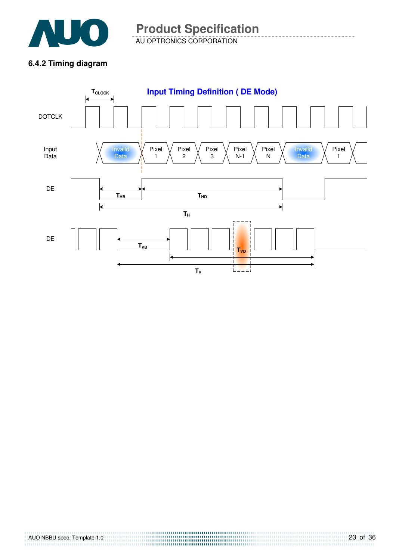

AU OPTRONICS CORPORATION **Product Specification** 

### **6.4.2 Timing diagram**

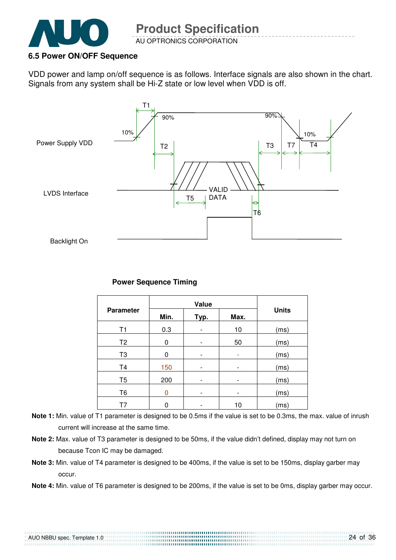

#### **6.5 Power ON/OFF Sequence**

VDD power and lamp on/off sequence is as follows. Interface signals are also shown in the chart. Signals from any system shall be Hi-Z state or low level when VDD is off.



#### **Power Sequence Timing**

|                  |                      | <b>Units</b> |    |      |
|------------------|----------------------|--------------|----|------|
| <b>Parameter</b> | Min.<br>Typ.<br>Max. |              |    |      |
| T <sub>1</sub>   | 0.3                  |              | 10 | (ms) |
| T <sub>2</sub>   | 0                    |              | 50 | (ms) |
| T <sub>3</sub>   | 0                    | -            |    | (ms) |
| T <sub>4</sub>   | 150                  |              | -  | (ms) |
| T <sub>5</sub>   | 200                  |              |    | (ms) |
| T <sub>6</sub>   | 0                    |              |    | (ms) |
|                  | 0                    |              | 10 | (ms) |

- **Note 1:** Min. value of T1 parameter is designed to be 0.5ms if the value is set to be 0.3ms, the max. value of inrush current will increase at the same time.
- **Note 2:** Max. value of T3 parameter is designed to be 50ms, if the value didn't defined, display may not turn on because Tcon IC may be damaged.
- **Note 3:** Min. value of T4 parameter is designed to be 400ms, if the value is set to be 150ms, display garber may occur.
- **Note 4:** Min. value of T6 parameter is designed to be 200ms, if the value is set to be 0ms, display garber may occur.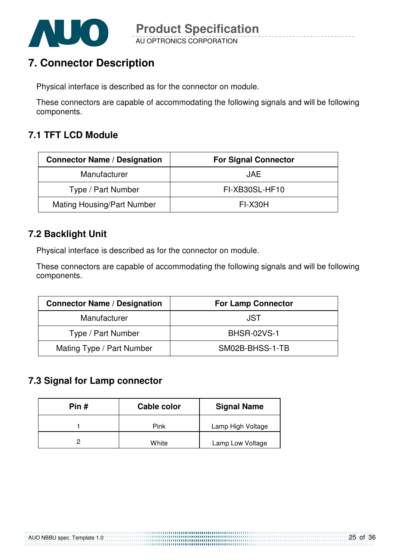

# **7. Connector Description**

Physical interface is described as for the connector on module.

These connectors are capable of accommodating the following signals and will be following components.

### **7.1 TFT LCD Module**

| <b>Connector Name / Designation</b> | <b>For Signal Connector</b> |
|-------------------------------------|-----------------------------|
| Manufacturer                        | <b>JAE</b>                  |
| Type / Part Number                  | FI-XB30SL-HF10              |
| <b>Mating Housing/Part Number</b>   | <b>FI-X30H</b>              |

### **7.2 Backlight Unit**

Physical interface is described as for the connector on module.

These connectors are capable of accommodating the following signals and will be following components.

| <b>Connector Name / Designation</b> | <b>For Lamp Connector</b> |
|-------------------------------------|---------------------------|
| Manufacturer                        | JST.                      |
| Type / Part Number                  | <b>BHSR-02VS-1</b>        |
| Mating Type / Part Number           | SM02B-BHSS-1-TB           |

### **7.3 Signal for Lamp connector**

| Pin $#$ | Cable color | <b>Signal Name</b> |
|---------|-------------|--------------------|
|         | Pink        | Lamp High Voltage  |
|         | White       | Lamp Low Voltage   |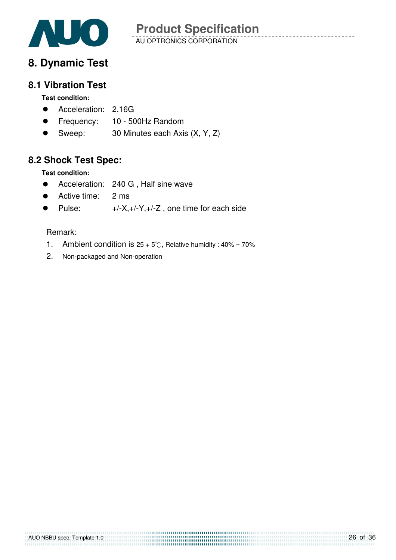

### **8. Dynamic Test**

#### **8.1 Vibration Test**

#### **Test condition:**

- **•** Acceleration: 2.16G
- Frequency: 10 500Hz Random
- Sweep:  $30$  Minutes each Axis  $(X, Y, Z)$

### **8.2 Shock Test Spec:**

#### **Test condition:**

- **•** Acceleration: 240 G, Half sine wave
- Active time: 2 ms
- Pulse:  $+/-X,+/-Y,+/-Z$ , one time for each side

#### Remark:

- 1. Ambient condition is  $25 + 5^\circ$ C, Relative humidity : 40% ~ 70%
- 2. Non-packaged and Non-operation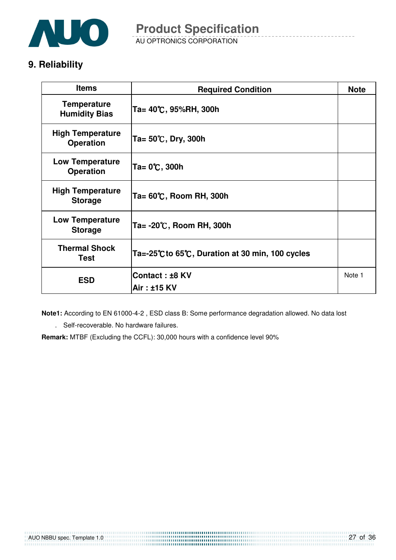

AU OPTRONICS CORPORATION **Product Specification** 

### **9. Reliability**

| <b>Items</b>                                | <b>Required Condition</b>                     | <b>Note</b> |
|---------------------------------------------|-----------------------------------------------|-------------|
| <b>Temperature</b><br><b>Humidity Bias</b>  | Ta= 40℃, 95%RH, 300h                          |             |
| <b>High Temperature</b><br><b>Operation</b> | Ta= $50^{\circ}$ C, Dry, 300h                 |             |
| <b>Low Temperature</b><br><b>Operation</b>  | Ta= 0℃, 300h                                  |             |
| <b>High Temperature</b><br><b>Storage</b>   | Ta= 60℃, Room RH, 300h                        |             |
| <b>Low Temperature</b><br><b>Storage</b>    | Ta= -20℃, Room RH, 300h                       |             |
| <b>Thermal Shock</b><br><b>Test</b>         | Ta=-25℃to 65℃, Duration at 30 min, 100 cycles |             |
| <b>ESD</b>                                  | Contact: ±8 KV                                | Note 1      |
|                                             | Air: ±15 KV                                   |             |

**Note1:** According to EN 61000-4-2 , ESD class B: Some performance degradation allowed. No data lost

. Self-recoverable. No hardware failures.

**Remark:** MTBF (Excluding the CCFL): 30,000 hours with a confidence level 90%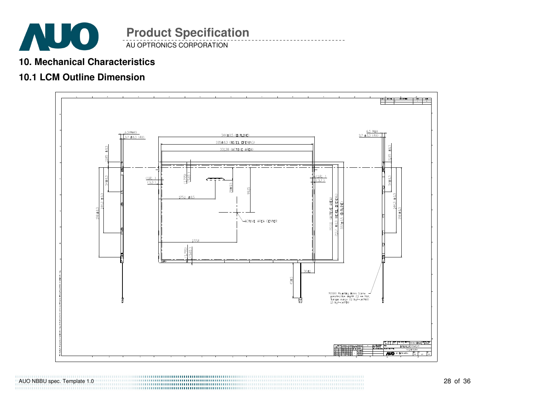

#### AU OPTRONICS CORPORATION **Product Specification**

#### **10. Mechanical Characteristics**

### **10.1 LCM Outline Dimension**



AUO NBBU spec. Template 1.0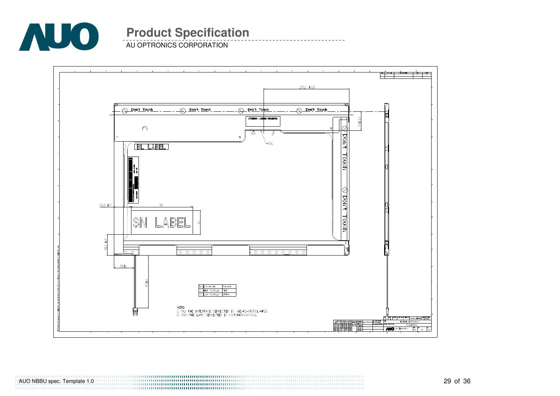

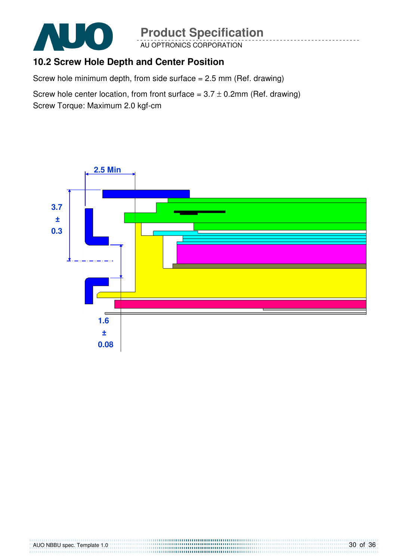

AU OPTRONICS CORPORATION

### **10.2 Screw Hole Depth and Center Position**

Screw hole minimum depth, from side surface = 2.5 mm (Ref. drawing)

Screw hole center location, from front surface =  $3.7 \pm 0.2$ mm (Ref. drawing) Screw Torque: Maximum 2.0 kgf-cm

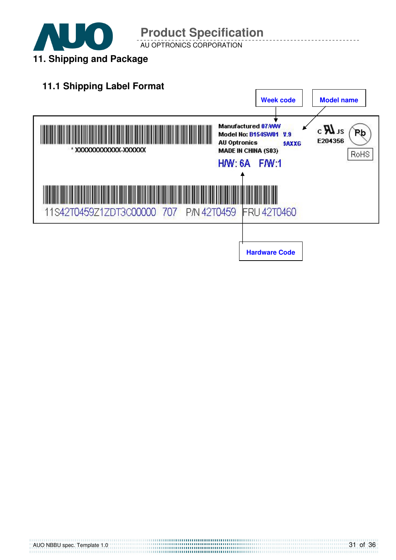

AU OPTRONICS CORPORATION

### **11.1 Shipping Label Format**

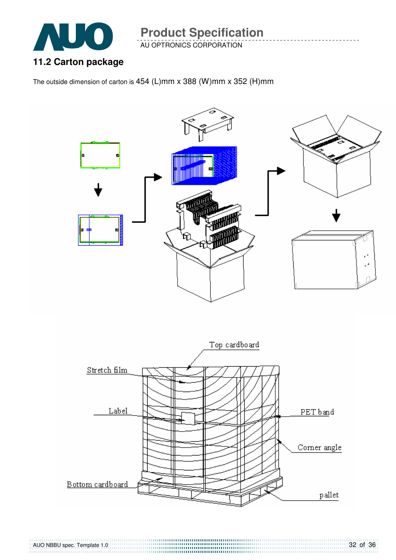

AUO NBBU spec. Template 1.0

**Product Specification** 

AU OPTRONICS CORPORATION

**11.2 Carton package** 

The outside dimension of carton is 454 (L)mm x 388 (W)mm x 352 (H)mm



32 of 36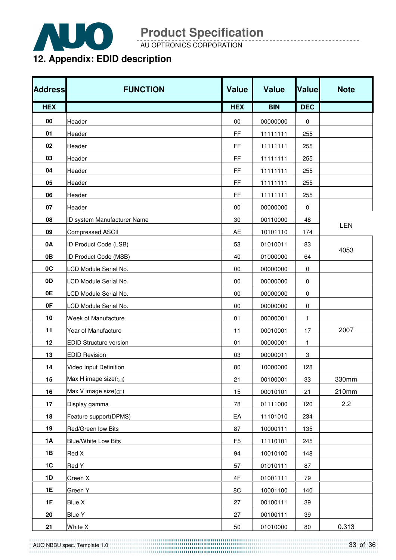

AU OPTRONICS CORPORATION

# **12. Appendix: EDID description**

| <b>Address</b> | <b>FUNCTION</b>                                    | <b>Value</b>   | <b>Value</b> | Value        | <b>Note</b> |
|----------------|----------------------------------------------------|----------------|--------------|--------------|-------------|
| <b>HEX</b>     |                                                    | <b>HEX</b>     | <b>BIN</b>   | <b>DEC</b>   |             |
| 00             | Header                                             | 00             | 00000000     | 0            |             |
| 01             | Header                                             | FF             | 11111111     | 255          |             |
| 02             | Header                                             | FF             | 11111111     | 255          |             |
| 03             | Header                                             | <b>FF</b>      | 11111111     | 255          |             |
| 04             | Header                                             | FF             | 11111111     | 255          |             |
| 05             | Header                                             | FF             | 11111111     | 255          |             |
| 06             | Header                                             | FF             | 11111111     | 255          |             |
| 07             | Header                                             | 00             | 00000000     | 0            |             |
| 08             | ID system Manufacturer Name                        | 30             | 00110000     | 48           |             |
| 09             | <b>Compressed ASCII</b>                            | AE             | 10101110     | 174          | <b>LEN</b>  |
| 0A             | ID Product Code (LSB)                              | 53             | 01010011     | 83           |             |
| 0B             | ID Product Code (MSB)                              | 40             | 01000000     | 64           | 4053        |
| 0C             | LCD Module Serial No.                              | 00             | 00000000     | 0            |             |
| 0D             | LCD Module Serial No.                              | $00\,$         | 00000000     | 0            |             |
| 0E             | LCD Module Serial No.                              | $00\,$         | 00000000     | 0            |             |
| 0F             | LCD Module Serial No.                              | 00             | 00000000     | 0            |             |
| 10             | Week of Manufacture                                | 01             | 00000001     | $\mathbf{1}$ |             |
| 11             | Year of Manufacture                                | 11             | 00010001     | 17           | 2007        |
| 12             | <b>EDID Structure version</b>                      | 01             | 00000001     | 1            |             |
| 13             | <b>EDID Revision</b>                               | 03             | 00000011     | 3            |             |
| 14             | Video Input Definition                             | 80             | 10000000     | 128          |             |
| 15             | Max H image size(cm)                               | 21             | 00100001     | 33           | 330mm       |
| 16             | Max V image size(cm)                               | 15             | 00010101     | 21           | 210mm       |
| 17             | Display gamma                                      | 78             | 01111000     | 120          | 2.2         |
| 18             | Feature support(DPMS)                              | EA             | 11101010     | 234          |             |
| 19             | Red/Green low Bits                                 | 87             | 10000111     | 135          |             |
| 1A             | <b>Blue/White Low Bits</b>                         | F <sub>5</sub> | 11110101     | 245          |             |
| 1B             | Red X                                              | 94             | 10010100     | 148          |             |
| 1C             | Red Y                                              | 57             | 01010111     | 87           |             |
| 1D             | Green X                                            | $4\mathsf{F}$  | 01001111     | 79           |             |
| <b>1E</b>      | Green Y<br><u> 1980 - Johann Barbara, martin a</u> | 8C             | 10001100     | 140          |             |
| 1F             | Blue X                                             | 27             | 00100111     | 39           |             |
| 20             | <b>Blue Y</b>                                      | 27             | 00100111     | 39           |             |
| 21             | White X                                            | 50             | 01010000     | 80           | 0.313       |

AUO NBBU spec. Template 1.0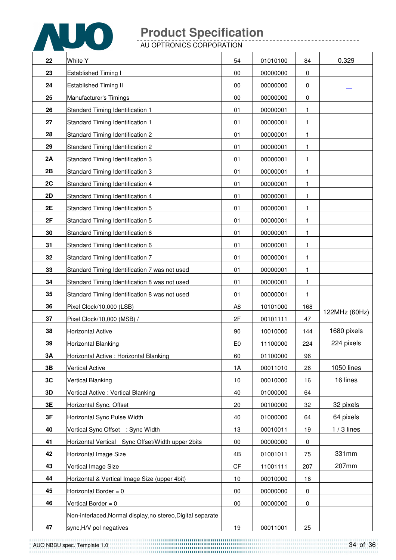

| 22 | White Y                                                     | 54             | 01010100 | 84               | 0.329         |
|----|-------------------------------------------------------------|----------------|----------|------------------|---------------|
| 23 | <b>Established Timing I</b>                                 | 00             | 00000000 | 0                |               |
| 24 | Established Timing II                                       | 00             | 00000000 | $\boldsymbol{0}$ |               |
| 25 | Manufacturer's Timings                                      | 00             | 00000000 | $\boldsymbol{0}$ |               |
| 26 | <b>Standard Timing Identification 1</b>                     | 01             | 00000001 | 1                |               |
| 27 | Standard Timing Identification 1                            | 01             | 00000001 | 1                |               |
| 28 | Standard Timing Identification 2                            | 01             | 00000001 | 1                |               |
| 29 | Standard Timing Identification 2                            | 01             | 00000001 | 1                |               |
| 2A | Standard Timing Identification 3                            | 01             | 00000001 | 1                |               |
| 2B | Standard Timing Identification 3                            | 01             | 00000001 | 1                |               |
| 2C | Standard Timing Identification 4                            | 01             | 00000001 | 1                |               |
| 2D | Standard Timing Identification 4                            | 01             | 00000001 | 1                |               |
| 2E | Standard Timing Identification 5                            | 01             | 00000001 | 1                |               |
| 2F | Standard Timing Identification 5                            | 01             | 00000001 | 1                |               |
| 30 | Standard Timing Identification 6                            | 01             | 00000001 | 1                |               |
| 31 | Standard Timing Identification 6                            | 01             | 00000001 | 1                |               |
| 32 | Standard Timing Identification 7                            | 01             | 00000001 | 1                |               |
| 33 | Standard Timing Identification 7 was not used               | 01             | 00000001 | 1                |               |
| 34 | Standard Timing Identification 8 was not used               | 01             | 00000001 | 1                |               |
| 35 | Standard Timing Identification 8 was not used               | 01             | 00000001 | 1                |               |
| 36 | Pixel Clock/10,000 (LSB)                                    | A <sub>8</sub> | 10101000 | 168              | 122MHz (60Hz) |
| 37 | Pixel Clock/10,000 (MSB) /                                  | 2F             | 00101111 | 47               |               |
| 38 | <b>Horizontal Active</b>                                    | 90             | 10010000 | 144              | 1680 pixels   |
| 39 | Horizontal Blanking                                         | E <sub>0</sub> | 11100000 | 224              | 224 pixels    |
| 3A | Horizontal Active : Horizontal Blanking                     | 60             | 01100000 | 96               |               |
| 3B | <b>Vertical Active</b>                                      | 1A             | 00011010 | 26               | 1050 lines    |
| 3C | <b>Vertical Blanking</b>                                    | 10             | 00010000 | 16               | 16 lines      |
| 3D | Vertical Active: Vertical Blanking                          | 40             | 01000000 | 64               |               |
| 3E | Horizontal Sync. Offset                                     | 20             | 00100000 | 32               | 32 pixels     |
| 3F | Horizontal Sync Pulse Width                                 | 40             | 01000000 | 64               | 64 pixels     |
| 40 | Vertical Sync Offset : Sync Width                           | 13             | 00010011 | 19               | $1/3$ lines   |
| 41 | Horizontal Vertical Sync Offset/Width upper 2bits           | $00\,$         | 00000000 | 0                |               |
| 42 | Horizontal Image Size                                       | 4B             | 01001011 | 75               | 331mm         |
| 43 | Vertical Image Size                                         | CF             | 11001111 | 207              | 207mm         |
| 44 | Horizontal & Vertical Image Size (upper 4bit)               | 10             | 00010000 | 16               |               |
| 45 | Horizontal Border = $0$                                     | 00             | 00000000 | 0                |               |
| 46 | Vertical Border = 0                                         | 00             | 00000000 | $\pmb{0}$        |               |
|    | Non-interlaced, Normal display, no stereo, Digital separate |                |          |                  |               |
| 47 | sync, H/V pol negatives                                     | 19             | 00011001 | 25               |               |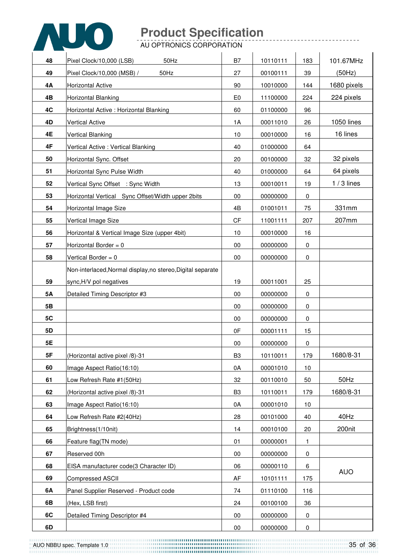

| 48        | Pixel Clock/10,000 (LSB)<br>50Hz                            | B7             | 10110111 | 183       | 101.67MHz   |
|-----------|-------------------------------------------------------------|----------------|----------|-----------|-------------|
| 49        | 50Hz<br>Pixel Clock/10,000 (MSB) /                          | 27             | 00100111 | 39        | (50Hz)      |
| 4Α        | <b>Horizontal Active</b>                                    | 90             | 10010000 | 144       | 1680 pixels |
| 4B        | Horizontal Blanking                                         | E <sub>0</sub> | 11100000 | 224       | 224 pixels  |
| 4C        | Horizontal Active: Horizontal Blanking                      | 60             | 01100000 | 96        |             |
| 4D        | Vertical Active                                             | 1A             | 00011010 | 26        | 1050 lines  |
| 4E        | Vertical Blanking                                           | 10             | 00010000 | 16        | 16 lines    |
| 4F        | Vertical Active: Vertical Blanking                          | 40             | 01000000 | 64        |             |
| 50        | Horizontal Sync. Offset                                     | 20             | 00100000 | 32        | 32 pixels   |
| 51        | Horizontal Sync Pulse Width                                 | 40             | 01000000 | 64        | 64 pixels   |
| 52        | Vertical Sync Offset : Sync Width                           | 13             | 00010011 | 19        | $1/3$ lines |
| 53        | Horizontal Vertical Sync Offset/Width upper 2bits           | 00             | 00000000 | 0         |             |
| 54        | Horizontal Image Size                                       | 4B             | 01001011 | 75        | 331mm       |
| 55        | Vertical Image Size                                         | CF             | 11001111 | 207       | 207mm       |
| 56        | Horizontal & Vertical Image Size (upper 4bit)               | 10             | 00010000 | 16        |             |
| 57        | Horizontal Border = $0$                                     | 00             | 00000000 | 0         |             |
| 58        | Vertical Border = 0                                         | 00             | 00000000 | 0         |             |
|           | Non-interlaced, Normal display, no stereo, Digital separate |                |          |           |             |
| 59        | sync, H/V pol negatives                                     | 19             | 00011001 | 25        |             |
| <b>5A</b> | Detailed Timing Descriptor #3                               | $00\,$         | 00000000 | 0         |             |
| 5B        |                                                             | 00             | 00000000 | 0         |             |
| 5C        |                                                             | 00             | 00000000 | 0         |             |
| 5D        |                                                             | 0F             | 00001111 | 15        |             |
| 5E        |                                                             | 00             | 00000000 | $\pmb{0}$ |             |
| 5F        | (Horizontal active pixel /8)-31                             | B <sub>3</sub> | 10110011 | 179       | 1680/8-31   |
| 60        | Image Aspect Ratio(16:10)                                   | 0A             | 00001010 | 10        |             |
| 61        | Low Refresh Rate #1(50Hz)                                   | 32             | 00110010 | 50        | 50Hz        |
| 62        | (Horizontal active pixel /8)-31                             | B <sub>3</sub> | 10110011 | 179       | 1680/8-31   |
| 63        | Image Aspect Ratio(16:10)                                   | 0A             | 00001010 | 10        |             |
| 64        | Low Refresh Rate #2(40Hz)                                   | 28             | 00101000 | 40        | 40Hz        |
| 65        | Brightness(1/10nit)                                         | 14             | 00010100 | 20        | 200nit      |
| 66        | Feature flag(TN mode)                                       | 01             | 00000001 | 1         |             |
| 67        | Reserved 00h                                                | $00\,$         | 00000000 | 0         |             |
| 68        | EISA manufacturer code(3 Character ID)                      | 06             | 00000110 | 6         |             |
| 69        | Compressed ASCII                                            | AF             | 10101111 | 175       | <b>AUO</b>  |
| 6A        | Panel Supplier Reserved - Product code                      | 74             | 01110100 | 116       |             |
| 6B        | (Hex, LSB first)                                            | 24             | 00100100 | 36        |             |
| 6C        | Detailed Timing Descriptor #4                               | $00\,$         | 00000000 | 0         |             |
| 6D        |                                                             | $00\,$         | 00000000 | 0         |             |